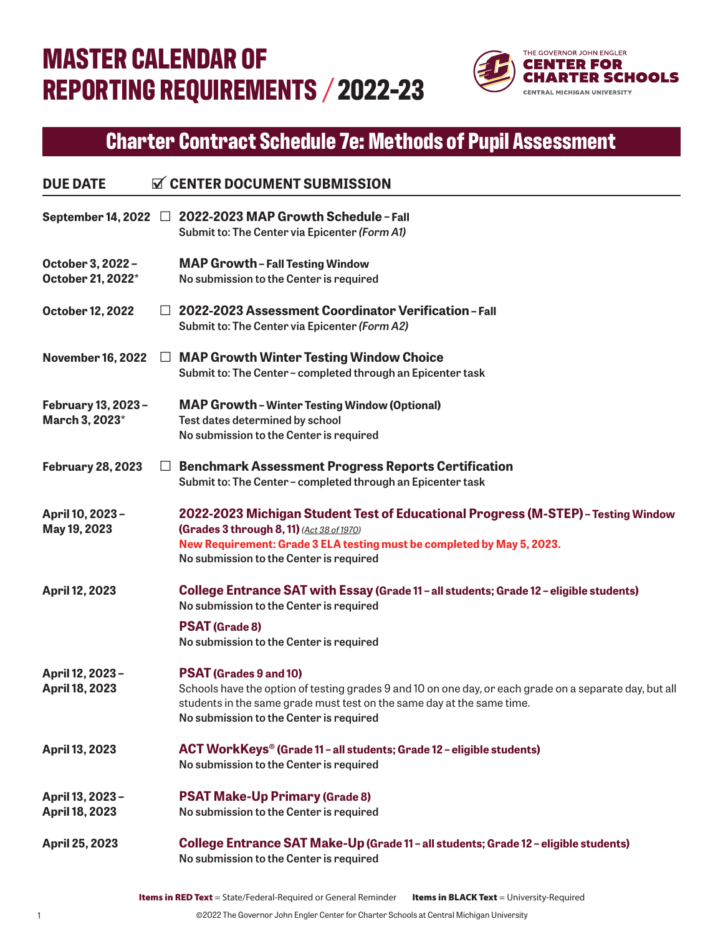## **MASTER CALENDAR OF REPORTING REQUIREMENTS 2022-23**



## **Charter Contract Schedule 7e: Methods of Pupil Assessment**

| <b>DUE DATE</b>                          |         | <b>N</b> CENTER DOCUMENT SUBMISSION                                                                                                                                                                                                                           |
|------------------------------------------|---------|---------------------------------------------------------------------------------------------------------------------------------------------------------------------------------------------------------------------------------------------------------------|
|                                          |         | September 14, 2022 □ 2022-2023 MAP Growth Schedule - Fall<br>Submit to: The Center via Epicenter (Form A1)                                                                                                                                                    |
| October 3, 2022 -<br>October 21, 2022*   |         | <b>MAP Growth-Fall Testing Window</b><br>No submission to the Center is required                                                                                                                                                                              |
| October 12, 2022                         | $\perp$ | 2022-2023 Assessment Coordinator Verification-Fall<br>Submit to: The Center via Epicenter (Form A2)                                                                                                                                                           |
| <b>November 16, 2022</b>                 | ⊔       | <b>MAP Growth Winter Testing Window Choice</b><br>Submit to: The Center - completed through an Epicenter task                                                                                                                                                 |
| February 13, 2023 -<br>March 3, 2023*    |         | <b>MAP Growth - Winter Testing Window (Optional)</b><br>Test dates determined by school<br>No submission to the Center is required                                                                                                                            |
| <b>February 28, 2023</b>                 | ⊔       | <b>Benchmark Assessment Progress Reports Certification</b><br>Submit to: The Center-completed through an Epicenter task                                                                                                                                       |
| April 10, 2023 -<br>May 19, 2023         |         | 2022-2023 Michigan Student Test of Educational Progress (M-STEP) - Testing Window<br>(Grades 3 through 8, 11) (Act 38 of 1970)<br>New Requirement: Grade 3 ELA testing must be completed by May 5, 2023.<br>No submission to the Center is required           |
| <b>April 12, 2023</b>                    |         | College Entrance SAT with Essay (Grade 11 - all students; Grade 12 - eligible students)<br>No submission to the Center is required<br><b>PSAT (Grade 8)</b><br>No submission to the Center is required                                                        |
| April 12, 2023-<br><b>April 18, 2023</b> |         | <b>PSAT (Grades 9 and 10)</b><br>Schools have the option of testing grades 9 and 10 on one day, or each grade on a separate day, but all<br>students in the same grade must test on the same day at the same time.<br>No submission to the Center is required |
| April 13, 2023                           |         | ACT WorkKeys® (Grade 11 - all students; Grade 12 - eligible students)<br>No submission to the Center is required                                                                                                                                              |
| April 13, 2023-<br><b>April 18, 2023</b> |         | <b>PSAT Make-Up Primary (Grade 8)</b><br>No submission to the Center is required                                                                                                                                                                              |
| April 25, 2023                           |         | College Entrance SAT Make-Up (Grade 11 - all students; Grade 12 - eligible students)<br>No submission to the Center is required                                                                                                                               |